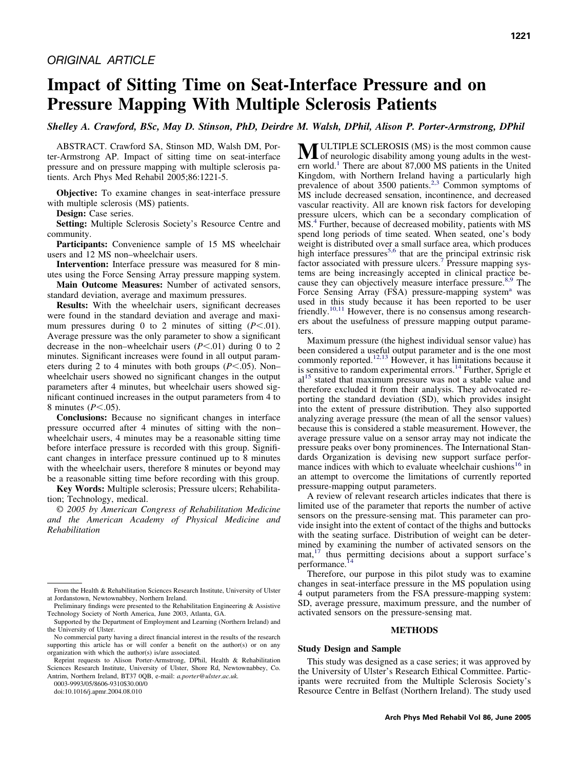# **Impact of Sitting Time on Seat-Interface Pressure and on Pressure Mapping With Multiple Sclerosis Patients**

*Shelley A. Crawford, BSc, May D. Stinson, PhD, Deirdre M. Walsh, DPhil, Alison P. Porter-Armstrong, DPhil*

ABSTRACT. Crawford SA, Stinson MD, Walsh DM, Porter-Armstrong AP. Impact of sitting time on seat-interface pressure and on pressure mapping with multiple sclerosis patients. Arch Phys Med Rehabil 2005;86:1221-5.

**Objective:** To examine changes in seat-interface pressure with multiple sclerosis (MS) patients.

**Design:** Case series.

**Setting:** Multiple Sclerosis Society's Resource Centre and community.

**Participants:** Convenience sample of 15 MS wheelchair users and 12 MS non–wheelchair users.

**Intervention:** Interface pressure was measured for 8 minutes using the Force Sensing Array pressure mapping system.

**Main Outcome Measures:** Number of activated sensors, standard deviation, average and maximum pressures.

**Results:** With the wheelchair users, significant decreases were found in the standard deviation and average and maximum pressures during 0 to 2 minutes of sitting  $(P<.01)$ . Average pressure was the only parameter to show a significant decrease in the non–wheelchair users  $(P<.01)$  during 0 to 2 minutes. Significant increases were found in all output parameters during 2 to 4 minutes with both groups  $(P<.05)$ . Non– wheelchair users showed no significant changes in the output parameters after 4 minutes, but wheelchair users showed significant continued increases in the output parameters from 4 to 8 minutes  $(P<.05)$ .

**Conclusions:** Because no significant changes in interface pressure occurred after 4 minutes of sitting with the non– wheelchair users, 4 minutes may be a reasonable sitting time before interface pressure is recorded with this group. Significant changes in interface pressure continued up to 8 minutes with the wheelchair users, therefore 8 minutes or beyond may be a reasonable sitting time before recording with this group.

**Key Words:** Multiple sclerosis; Pressure ulcers; Rehabilitation; Technology, medical.

© *2005 by American Congress of Rehabilitation Medicine and the American Academy of Physical Medicine and Rehabilitation*

0003-9993/05/8606-9310\$30.00/0

doi:10.1016/j.apmr.2004.08.010

**M**ULTIPLE SCLEROSIS (MS) is the most common cause<br>of neurologic disability among young adults in the western world.<sup>1</sup> There are about 87,000 MS patients in the United Kingdom, with Northern Ireland having a particularly high prevalence of about  $3500$  patients.<sup>2,3</sup> Common symptoms of MS include decreased sensation, incontinence, and decreased vascular reactivity. All are known risk factors for developing pressure ulcers, which can be a secondary complication of MS.<sup>4</sup> Further, because of decreased mobility, patients with MS spend long periods of time seated. When seated, one's body weight is distributed over a small surface area, which produces high interface pressures<sup>5,6</sup> that are the principal extrinsic risk factor associated with pressure ulcers.<sup>7</sup> Pressure mapping systems are being increasingly accepted in clinical practice because they can objectively measure interface pressure.<sup>8,9</sup> The Force Sensing Array  $(FSA)$  pressure-[ma](#page-4-0)pping system<sup>a</sup> was used in this study because it has been reported to be user friendly.<sup>10,11</sup> However, there is no consensus among researchers about the usefulness of pressure mapping output parameters.

Maximum pressure (the highest individual sensor value) has been considered a useful output parameter and is the one most commonly reported.<sup>12,13</sup> However, it has limitations because it is sensitive to random experimental errors.<sup>14</sup> Further, Sprigle et  $al<sup>15</sup>$  stated that maximum pressure was not a stable value and therefore excluded it from their analysis. They advocated reporting the standard deviation (SD), which provides insight into the extent of pressure distribution. They also supported analyzing average pressure (the mean of all the sensor values) because this is considered a stable measurement. However, the average pressure value on a sensor array may not indicate the pressure peaks over bony prominences. The International Standards Organization is devising new support surface performance indices with which to evaluate wheelchair cushions<sup>16</sup> in an attempt to overcome the limitations of currently reported pressure-mapping output parameters.

A review of relevant research articles indicates that there is limited use of the parameter that reports the number of active sensors on the pressure-sensing mat. This parameter can provide insight into the extent of contact of the thighs and buttocks with the seating surface. Distribution of weight can be determined by examining the number of activated sensors on the mat,<sup>17</sup> thus permitting decisions about a support surface's performance.<sup>14</sup>

Therefore, our purpose in this pilot study was to examine changes in seat-interface pressure in the MS population using 4 output parameters from the FSA pressure-mapping system: SD, average pressure, maximum pressure, and the number of activated sensors on the pressure-sensing mat.

#### **METHODS**

## **Study Design and Sample**

This study was designed as a case series; it was approved by the University of Ulster's Research Ethical Committee. Participants were recruited from the Multiple Sclerosis Society's Resource Centre in Belfast (Northern Ireland). The study used

From the Health & Rehabilitation Sciences Research Institute, University of Ulster at Jordanstown, Newtownabbey, Northern Ireland.

Preliminary findings were presented to the Rehabilitation Engineering & Assistive Technology Society of North America, June 2003, Atlanta, GA.

Supported by the Department of Employment and Learning (Northern Ireland) and the University of Ulster.

No commercial party having a direct financial interest in the results of the research supporting this article has or will confer a benefit on the author(s) or on any organization with which the author(s) is/are associated.

Reprint requests to Alison Porter-Armstrong, DPhil, Health & Rehabilitation Sciences Research Institute, University of Ulster, Shore Rd, Newtownabbey, Co. Antrim, Northern Ireland, BT37 0QB, e-mail: *a.porter@ulster.ac.uk.*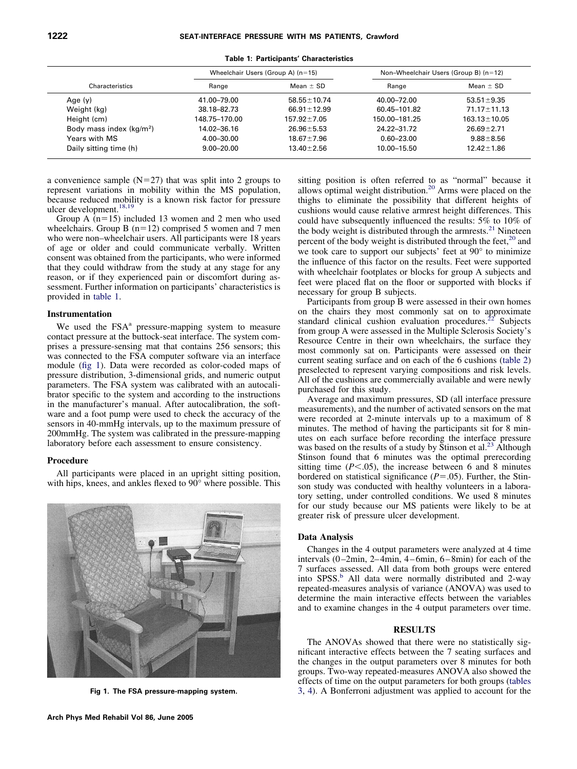|--|--|

|  |  | Table 1: Participants' Characteristics |
|--|--|----------------------------------------|
|--|--|----------------------------------------|

|                           |                | Wheelchair Users (Group A) $(n=15)$ | Non-Wheelchair Users (Group B) (n=12) |                    |  |  |  |  |
|---------------------------|----------------|-------------------------------------|---------------------------------------|--------------------|--|--|--|--|
| Characteristics           | Range          | Mean $\pm$ SD                       | Range                                 | Mean $\pm$ SD      |  |  |  |  |
| Age $(y)$                 | 41.00-79.00    | $58.55 \pm 10.74$                   | 40.00-72.00                           | $53.51 \pm 9.35$   |  |  |  |  |
| Weight (kg)               | 38.18-82.73    | $66.91 \pm 12.99$                   | 60.45-101.82                          | $71.17 \pm 11.13$  |  |  |  |  |
| Height (cm)               | 148.75-170.00  | $157.92 \pm 7.05$                   | 150.00-181.25                         | $163.13 \pm 10.05$ |  |  |  |  |
| Body mass index $(kq/m2)$ | 14.02-36.16    | $26.96 \pm 5.53$                    | 24.22-31.72                           | $26.69 \pm 2.71$   |  |  |  |  |
| Years with MS             | $4.00 - 30.00$ | $18.67 \pm 7.96$                    | $0.60 - 23.00$                        | $9.88 \pm 8.56$    |  |  |  |  |
| Daily sitting time (h)    | $9.00 - 20.00$ | $13.40 \pm 2.56$                    | 10.00-15.50                           | $12.42 \pm 1.86$   |  |  |  |  |

a convenience sample  $(N=27)$  that was split into 2 groups to represent variations in mobility within the MS population, because reduced mobility is a known risk factor for pressure ulcer development.<sup>18,19</sup>

Group A  $(n=15)$  included 13 women and 2 men who used wheelchairs. Group B  $(n=12)$  comprised 5 women and 7 men who were non–wheelchair users. All participants were 18 years of age or older and could communicate verbally. Written consent was obtained from the participants, who were informed that they could withdraw from the study at any stage for any reason, or if they experienced pain or discomfort during assessment. Further information on participants' characteristics is provided in table 1.

# **Instrumentation**

We used the  $FSA<sup>a</sup>$  pressure-mapping system to measure contact pressure at the buttock-seat interface. The system comprises a pressure-sensing mat that contains 256 sensors; this was connected to the FSA computer software via an interface module (fig 1). Data were recorded as color-coded maps of pressure distribution, 3-dimensional grids, and numeric output parameters. The FSA system was calibrated with an autocalibrator specific to the system and according to the instructions in the manufacturer's manual. After autocalibration, the software and a foot pump were used to check the accuracy of the sensors in 40-mmHg intervals, up to the maximum pressure of 200mmHg. The system was calibrated in the pressure-mapping laboratory before each assessment to ensure consistency.

# **Procedure**

All participants were placed in an upright sitting position, with hips, knees, and ankles flexed to 90° where possible. This



**Fig 1. The FSA pressure-mapping system.**

sitting position is often referred to as "normal" because it allows optimal weight distribution.<sup>20</sup> Arms were placed on the thighs to eliminate the possibility that different heights of cushions would cause relative armrest height differences. This could have subsequently influenced the results: 5% to 10% of the body weight is distributed through the armrests.<sup>21</sup> Nineteen percent of the body weight is distributed through the feet, $^{20}$  and we took care to support our subjects' feet at 90° to minimize the influence of this factor on the results. Feet were supported with wheelchair footplates or blocks for group A subjects and feet were placed flat on the floor or supported with blocks if necessary for group B subjects.

Participants from group B were assessed in their own homes on the chairs they most commonly sat on to approximate standard clinical cushion evaluation procedures.<sup>22</sup> Subjects from group A were assessed in the Multiple Sclerosis Society's Resource Centre in their own wheelchairs, the surface they most commonly sat on. Participants were assessed on their current seating surface and on each of the 6 cushions [\(table 2\)](#page-2-0) preselected to represent varying compositions and risk levels. All of the cushions are commercially available and were newly purchased for this study.

Average and maximum pressures, SD (all interface pressure measurements), and the number of activated sensors on the mat were recorded at 2-minute intervals up to a maximum of 8 minutes. The method of having the participants sit for 8 minutes on each surface before recording the interface pressure was based on the results of a study by Stinson et al.<sup>23</sup> Although Stinson found that 6 minutes was the optimal prerecording sitting time  $(P<.05)$ , the increase between 6 and 8 minutes bordered on statistical significance  $(P = .05)$ . Further, the Stinson study was conducted with healthy volunteers in a laboratory setting, under controlled conditions. We used 8 minutes for our study because our MS patients were likely to be at greater risk of pressure ulcer development.

## **Data Analysis**

Changes in the 4 output parameters were analyzed at 4 time intervals (0–2min, 2–4min, 4–6min, 6–8min) for each of the 7 surfaces assessed. All data from both groups were entered into SPSS.<sup>b</sup> All data were normally distributed and 2-way repeated-measures analysis of variance (ANOVA) was used to determine the main interactive effects between the variables and to examine changes in the 4 output parameters over time.

## **RESULTS**

The ANOVAs showed that there were no statistically significant interactive effects between the 7 seating surfaces and the changes in the output parameters over 8 minutes for both groups. Two-way repeated-measures ANOVA also showed the effects of time on the output parameters for both groups [\(tables](#page-2-0) [3,](#page-2-0) [4\)](#page-3-0). A Bonferroni adjustment was applied to account for the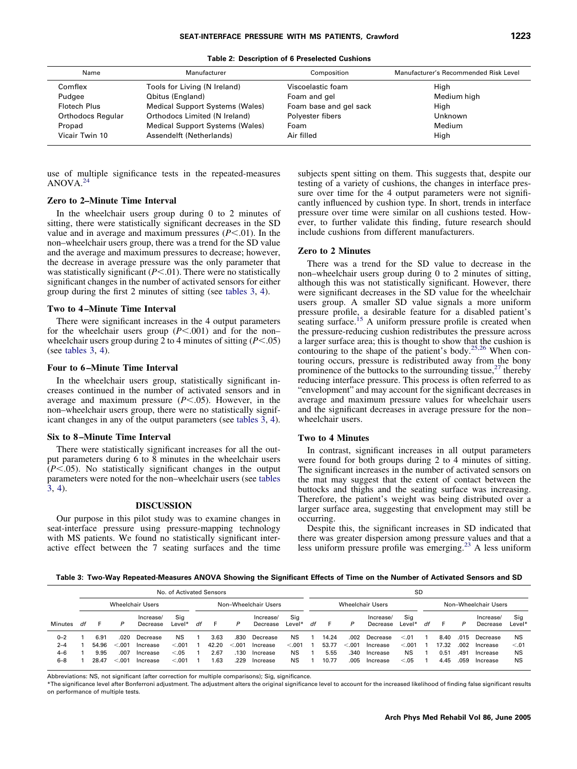<span id="page-2-0"></span>

| Name                     | Manufacturer                           | Composition            | Manufacturer's Recommended Risk Level |
|--------------------------|----------------------------------------|------------------------|---------------------------------------|
| Comflex                  | Tools for Living (N Ireland)           | Viscoelastic foam      | High                                  |
| Pudgee                   | <b>Qbitus (England)</b>                | Foam and gel           | Medium high                           |
| <b>Flotech Plus</b>      | <b>Medical Support Systems (Wales)</b> | Foam base and gel sack | High                                  |
| <b>Orthodocs Regular</b> | Orthodocs Limited (N Ireland)          | Polyester fibers       | Unknown                               |
| Propad                   | Medical Support Systems (Wales)        | Foam                   | Medium                                |
| Vicair Twin 10           | Assendelft (Netherlands)               | Air filled             | High                                  |

use of multiple significance tests in the repeated-measures ANOVA[.24](#page-4-0)

## **Zero to 2–Minute Time Interval**

In the wheelchair users group during 0 to 2 minutes of sitting, there were statistically significant decreases in the SD value and in average and maximum pressures  $(P<.01)$ . In the non–wheelchair users group, there was a trend for the SD value and the average and maximum pressures to decrease; however, the decrease in average pressure was the only parameter that was statistically significant  $(P<.01)$ . There were no statistically significant changes in the number of activated sensors for either group during the first 2 minutes of sitting (see tables 3, [4\)](#page-3-0).

# **Two to 4 –Minute Time Interval**

There were significant increases in the 4 output parameters for the wheelchair users group ( $P$ <.001) and for the nonwheelchair users group during  $2$  to 4 minutes of sitting ( $P$ <.05) (see tables 3, [4\)](#page-3-0).

#### **Four to 6 –Minute Time Interval**

In the wheelchair users group, statistically significant increases continued in the number of activated sensors and in average and maximum pressure  $(P<.05)$ . However, in the non–wheelchair users group, there were no statistically significant changes in any of the output parameters (see tables 3, [4](#page-3-0)).

#### **Six to 8 –Minute Time Interval**

There were statistically significant increases for all the output parameters during 6 to 8 minutes in the wheelchair users  $(P<.05)$ . No statistically significant changes in the output parameters were noted for the non–wheelchair users (see tables 3, [4\)](#page-3-0).

## **DISCUSSION**

Our purpose in this pilot study was to examine changes in seat-interface pressure using pressure-mapping technology with MS patients. We found no statistically significant interactive effect between the 7 seating surfaces and the time subjects spent sitting on them. This suggests that, despite our testing of a variety of cushions, the changes in interface pressure over time for the 4 output parameters were not significantly influenced by cushion type. In short, trends in interface pressure over time were similar on all cushions tested. However, to further validate this finding, future research should include cushions from different manufacturers.

# **Zero to 2 Minutes**

There was a trend for the SD value to decrease in the non–wheelchair users group during 0 to 2 minutes of sitting, although this was not statistically significant. However, there were significant decreases in the SD value for the wheelchair users group. A smaller SD value signals a more uniform pressure profile, a desirable feature for a disabled patient's seating surface.<sup>15</sup> A uniform pressure profile is created when the pressure-reducing cushion redistributes the pressure across a larger surface area; this is thought to show that the cushion is contouring to the shape of the patient's body.<sup>25,26</sup> When contouring occurs, pressure is redistributed away from the bony prominence of the buttocks to the surrounding tissue,  $27$  thereby reducing interface pressure. This process is often referred to as "envelopment" and may account for the significant decreases in average and maximum pressure values for wheelchair users and the significant decreases in average pressure for the non– wheelchair users.

## **Two to 4 Minutes**

In contrast, significant increases in all output parameters were found for both groups during 2 to 4 minutes of sitting. The significant increases in the number of activated sensors on the mat may suggest that the extent of contact between the buttocks and thighs and the seating surface was increasing. Therefore, the patient's weight was being distributed over a larger surface area, suggesting that envelopment may still be occurring.

Despite this, the significant increases in SD indicated that there was greater dispersion among pressure values and that a less uniform pressure profile was emerging[.23](#page-4-0) A less uniform

**Table 3: Two-Way Repeated-Measures ANOVA Showing the Significant Effects of Time on the Number of Activated Sensors and SD**

|         | No. of Activated Sensors                        |               |        |                       |               |    |       |        |                       |               |    | SD    |        |                       |               |                      |       |      |                       |               |  |
|---------|-------------------------------------------------|---------------|--------|-----------------------|---------------|----|-------|--------|-----------------------|---------------|----|-------|--------|-----------------------|---------------|----------------------|-------|------|-----------------------|---------------|--|
|         | <b>Wheelchair Users</b><br>Non-Wheelchair Users |               |        |                       |               |    |       |        | Wheelchair Users      |               |    |       |        |                       |               | Non-Wheelchair Users |       |      |                       |               |  |
| Minutes | df                                              |               | P      | Increase/<br>Decrease | Sig<br>Level* | df |       | P      | Increase/<br>Decrease | Sig<br>Level* | df | E     | P      | Increase/<br>Decrease | Sig<br>Level* | df                   | н.    | P    | Increase/<br>Decrease | Sig<br>Level* |  |
| $0 - 2$ |                                                 | $6.9^{\circ}$ | .020   | Decrease              | <b>NS</b>     |    | 3.63  | .830   | Decrease              | <b>NS</b>     |    | 14.24 | .002   | Decrease              | < 0.01        |                      | 8.40  | .015 | Decrease              | <b>NS</b>     |  |
| $2 - 4$ |                                                 | 54.96         | < 0.01 | Increase              | < .001        |    | 42.20 | < 0.01 | Increase              | < 0.001       |    | 53.77 | < 0.01 | Increase              | < 0.001       |                      | 17.32 | .002 | Increase              | < 0.01        |  |
| $4 - 6$ |                                                 | 9.95          | .007   | Increase              | < 0.05        |    | 2.67  | .130   | Increase              | <b>NS</b>     |    | 5.55  | .340   | Increase              | <b>NS</b>     |                      | 0.51  | .491 | Increase              | <b>NS</b>     |  |
| $6 - 8$ |                                                 | 28.47         | < 001  | Increase              | < 0.001       |    | .63   | .229   | Increase              | <b>NS</b>     |    | 10.77 | .005   | Increase              | < 0.05        |                      | 4.45  | .059 | Increase              | <b>NS</b>     |  |

Abbreviations: NS, not significant (after correction for multiple comparisons); Sig, significance.

\*The significance level after Bonferroni adjustment. The adjustment alters the original significance level to account for the increased likelihood of finding false significant results on performance of multiple tests.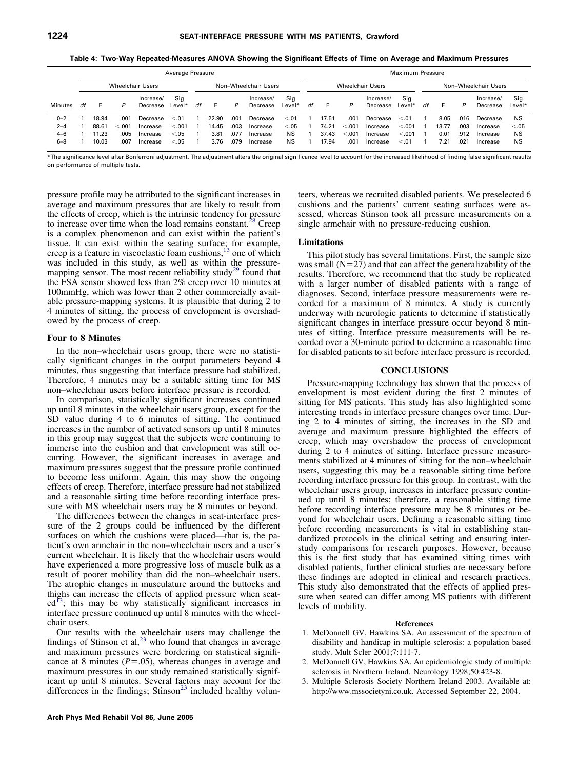<span id="page-3-0"></span>

|         | Average Pressure                         |       |       |                       |               |    |       |      |                       |                         |    | Maximum Pressure |        |                       |               |    |                      |      |                       |               |  |  |  |
|---------|------------------------------------------|-------|-------|-----------------------|---------------|----|-------|------|-----------------------|-------------------------|----|------------------|--------|-----------------------|---------------|----|----------------------|------|-----------------------|---------------|--|--|--|
|         | Wheelchair Users<br>Non-Wheelchair Users |       |       |                       |               |    |       |      |                       | <b>Wheelchair Users</b> |    |                  |        |                       |               |    | Non-Wheelchair Users |      |                       |               |  |  |  |
| Minutes | df                                       |       |       | Increase/<br>Decrease | Sig<br>Level* | df |       | P    | Increase/<br>Decrease | Sig<br>Level*           | df |                  | P      | Increase/<br>Decrease | Sig<br>Level* | df |                      | P    | Increase/<br>Decrease | Sig<br>Level* |  |  |  |
| $0 - 2$ |                                          | 18.94 | .001  | Decrease              | < 0.01        |    | 22.90 | .001 | Decrease              | < 0.01                  |    | 17.51            | .001   | Decrease              | < 0.01        |    | 8.05                 | .016 | Decrease              | <b>NS</b>     |  |  |  |
| $2 - 4$ |                                          | 88.61 | 0.001 | Increase              | < 0.001       |    | 14.45 | .003 | Increase              | < 0.05                  |    | 74.21            | < 0.01 | Increase              | < 0.001       |    | 13.77                | .003 | Increase              | < 0.05        |  |  |  |
| $4 - 6$ |                                          | 1.23  | .005  | Increase              | < 0.05        |    | 3.81  | .077 | Increase              | <b>NS</b>               |    | 37.43            | < 0.01 | Increase              | < 0.001       |    | 0.01                 | .912 | Increase              | <b>NS</b>     |  |  |  |
| $6 - 8$ |                                          | 10.03 | .007  | Increase              | < 0.05        |    | 3.76  | .079 | Increase              | <b>NS</b>               |    | 17.94            | .001   | Increase              | < 0.01        |    | 7.21                 | .021 | Increase              | <b>NS</b>     |  |  |  |

**Table 4: Two-Way Repeated-Measures ANOVA Showing the Significant Effects of Time on Average and Maximum Pressures**

\*The significance level after Bonferroni adjustment. The adjustment alters the original significance level to account for the increased likelihood of finding false significant results on performance of multiple tests.

pressure profile may be attributed to the significant increases in average and maximum pressures that are likely to result from the effects of creep, which is the intrinsic tendency for pressure to increase over time when the load remains constant.<sup>28</sup> Creep is a complex phenomenon and can exist within the patient's tissue. It can exist within the seating surface; for example, creep is a feature in viscoelastic foam cushions,<sup>13</sup> one of which was included in this study, as well as within the pressuremapping sensor. The most recent reliability study<sup>29</sup> found that the FSA sensor showed less than 2% creep over 10 minutes at 100mmHg, which was lower than 2 other commercially available pressure-mapping systems. It is plausible that during 2 to 4 minutes of sitting, the process of envelopment is overshadowed by the process of creep.

## **Four to 8 Minutes**

In the non–wheelchair users group, there were no statistically significant changes in the output parameters beyond 4 minutes, thus suggesting that interface pressure had stabilized. Therefore, 4 minutes may be a suitable sitting time for MS non–wheelchair users before interface pressure is recorded.

In comparison, statistically significant increases continued up until 8 minutes in the wheelchair users group, except for the SD value during 4 to 6 minutes of sitting. The continued increases in the number of activated sensors up until 8 minutes in this group may suggest that the subjects were continuing to immerse into the cushion and that envelopment was still occurring. However, the significant increases in average and maximum pressures suggest that the pressure profile continued to become less uniform. Again, this may show the ongoing effects of creep. Therefore, interface pressure had not stabilized and a reasonable sitting time before recording interface pressure with MS wheelchair users may be 8 minutes or beyond.

The differences between the changes in seat-interface pressure of the 2 groups could be influenced by the different surfaces on which the cushions were placed—that is, the patient's own armchair in the non–wheelchair users and a user's current wheelchair. It is likely that the wheelchair users would have experienced a more progressive loss of muscle bulk as a result of poorer mobility than did the non–wheelchair users. The atrophic changes in musculature around the buttocks and thighs can increase the effects of applied pressure when seat $ed^{13}$ ; this may be why statistically significant increases in interface pressure continued up until 8 minutes with the wheelchair users.

Our results with the wheelchair users may challenge the findings of Stinson et al, $^{23}$  who found that changes in average and maximum pressures were bordering on statistical significance at 8 minutes  $(P = .05)$ , whereas changes in average and maximum pressures in our study remained statistically significant up until 8 minutes. Several factors may account for the differences in the findings;  $Stinson<sup>23</sup>$  included healthy volunteers, whereas we recruited disabled patients. We preselected 6 cushions and the patients' current seating surfaces were assessed, whereas Stinson took all pressure measurements on a single armchair with no pressure-reducing cushion.

## **Limitations**

This pilot study has several limitations. First, the sample size was small  $(N=27)$  and that can affect the generalizability of the results. Therefore, we recommend that the study be replicated with a larger number of disabled patients with a range of diagnoses. Second, interface pressure measurements were recorded for a maximum of 8 minutes. A study is currently underway with neurologic patients to determine if statistically significant changes in interface pressure occur beyond 8 minutes of sitting. Interface pressure measurements will be recorded over a 30-minute period to determine a reasonable time for disabled patients to sit before interface pressure is recorded.

## **CONCLUSIONS**

Pressure-mapping technology has shown that the process of envelopment is most evident during the first 2 minutes of sitting for MS patients. This study has also highlighted some interesting trends in interface pressure changes over time. During 2 to 4 minutes of sitting, the increases in the SD and average and maximum pressure highlighted the effects of creep, which may overshadow the process of envelopment during 2 to 4 minutes of sitting. Interface pressure measurements stabilized at 4 minutes of sitting for the non–wheelchair users, suggesting this may be a reasonable sitting time before recording interface pressure for this group. In contrast, with the wheelchair users group, increases in interface pressure continued up until 8 minutes; therefore, a reasonable sitting time before recording interface pressure may be 8 minutes or beyond for wheelchair users. Defining a reasonable sitting time before recording measurements is vital in establishing standardized protocols in the clinical setting and ensuring interstudy comparisons for research purposes. However, because this is the first study that has examined sitting times with disabled patients, further clinical studies are necessary before these findings are adopted in clinical and research practices. This study also demonstrated that the effects of applied pressure when seated can differ among MS patients with different levels of mobility.

#### **References**

- 1. McDonnell GV, Hawkins SA. An assessment of the spectrum of disability and handicap in multiple sclerosis: a population based study. Mult Scler 2001;7:111-7.
- 2. McDonnell GV, Hawkins SA. An epidemiologic study of multiple sclerosis in Northern Ireland. Neurology 1998;50:423-8.
- 3. Multiple Sclerosis Society Northern Ireland 2003. Available at: http://www.mssocietyni.co.uk. Accessed September 22, 2004.